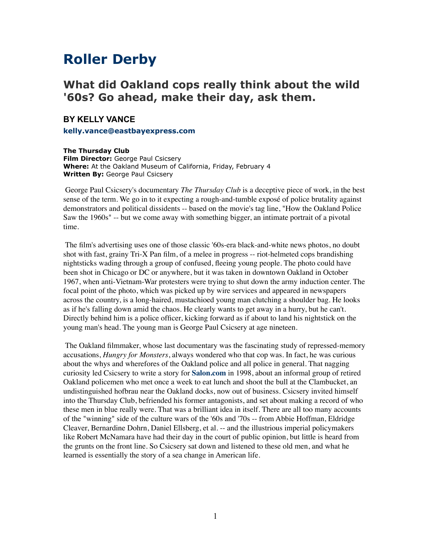## **Roller Derby**

## **What did Oakland cops really think about the wild '60s? Go ahead, make their day, ask them.**

## **BY KELLY VANCE**

**[kelly.vance@eastbayexpress.com](http://www.eastbayexpress.com/feedback/index_html?author_email=kelly.vance@eastbayexpress.com&feedback_email=nope&headline=Roller%2520Derby&issuedate=2005/02/02)**

**The Thursday Club Film Director:** George Paul Csicsery **Where:** At the Oakland Museum of California, Friday, February 4 **Written By:** George Paul Csicsery

 George Paul Csicsery's documentary *The Thursday Club* is a deceptive piece of work, in the best sense of the term. We go in to it expecting a rough-and-tumble exposé of police brutality against demonstrators and political dissidents -- based on the movie's tag line, "How the Oakland Police Saw the 1960s" -- but we come away with something bigger, an intimate portrait of a pivotal time.

 The film's advertising uses one of those classic '60s-era black-and-white news photos, no doubt shot with fast, grainy Tri-X Pan film, of a melee in progress -- riot-helmeted cops brandishing nightsticks wading through a group of confused, fleeing young people. The photo could have been shot in Chicago or DC or anywhere, but it was taken in downtown Oakland in October 1967, when anti-Vietnam-War protesters were trying to shut down the army induction center. The focal point of the photo, which was picked up by wire services and appeared in newspapers across the country, is a long-haired, mustachioed young man clutching a shoulder bag. He looks as if he's falling down amid the chaos. He clearly wants to get away in a hurry, but he can't. Directly behind him is a police officer, kicking forward as if about to land his nightstick on the young man's head. The young man is George Paul Csicsery at age nineteen.

 The Oakland filmmaker, whose last documentary was the fascinating study of repressed-memory accusations, *Hungry for Monsters*, always wondered who that cop was. In fact, he was curious about the whys and wherefores of the Oakland police and all police in general. That nagging curiosity led Csicsery to write a story for **[Salon.com](http://Salon.com/)** in 1998, about an informal group of retired Oakland policemen who met once a week to eat lunch and shoot the bull at the Clambucket, an undistinguished hofbrau near the Oakland docks, now out of business. Csicsery invited himself into the Thursday Club, befriended his former antagonists, and set about making a record of who these men in blue really were. That was a brilliant idea in itself. There are all too many accounts of the "winning" side of the culture wars of the '60s and '70s -- from Abbie Hoffman, Eldridge Cleaver, Bernardine Dohrn, Daniel Ellsberg, et al. -- and the illustrious imperial policymakers like Robert McNamara have had their day in the court of public opinion, but little is heard from the grunts on the front line. So Csicsery sat down and listened to these old men, and what he learned is essentially the story of a sea change in American life.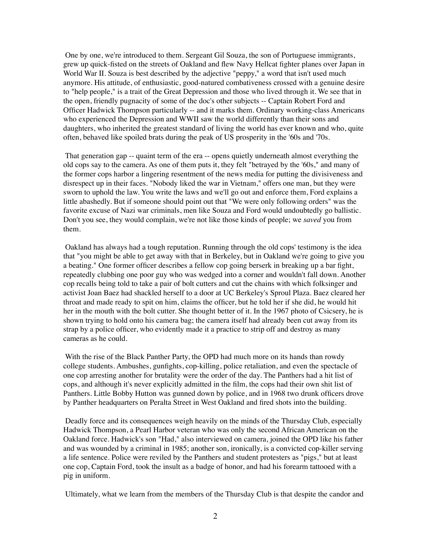One by one, we're introduced to them. Sergeant Gil Souza, the son of Portuguese immigrants, grew up quick-fisted on the streets of Oakland and flew Navy Hellcat fighter planes over Japan in World War II. Souza is best described by the adjective "peppy," a word that isn't used much anymore. His attitude, of enthusiastic, good-natured combativeness crossed with a genuine desire to "help people," is a trait of the Great Depression and those who lived through it. We see that in the open, friendly pugnacity of some of the doc's other subjects -- Captain Robert Ford and Officer Hadwick Thompson particularly -- and it marks them. Ordinary working-class Americans who experienced the Depression and WWII saw the world differently than their sons and daughters, who inherited the greatest standard of living the world has ever known and who, quite often, behaved like spoiled brats during the peak of US prosperity in the '60s and '70s.

 That generation gap -- quaint term of the era -- opens quietly underneath almost everything the old cops say to the camera. As one of them puts it, they felt "betrayed by the '60s," and many of the former cops harbor a lingering resentment of the news media for putting the divisiveness and disrespect up in their faces. "Nobody liked the war in Vietnam," offers one man, but they were sworn to uphold the law. You write the laws and we'll go out and enforce them, Ford explains a little abashedly. But if someone should point out that "We were only following orders" was the favorite excuse of Nazi war criminals, men like Souza and Ford would undoubtedly go ballistic. Don't you see, they would complain, we're not like those kinds of people; we *saved* you from them.

 Oakland has always had a tough reputation. Running through the old cops' testimony is the idea that "you might be able to get away with that in Berkeley, but in Oakland we're going to give you a beating." One former officer describes a fellow cop going berserk in breaking up a bar fight, repeatedly clubbing one poor guy who was wedged into a corner and wouldn't fall down. Another cop recalls being told to take a pair of bolt cutters and cut the chains with which folksinger and activist Joan Baez had shackled herself to a door at UC Berkeley's Sproul Plaza. Baez cleared her throat and made ready to spit on him, claims the officer, but he told her if she did, he would hit her in the mouth with the bolt cutter. She thought better of it. In the 1967 photo of Csicsery, he is shown trying to hold onto his camera bag; the camera itself had already been cut away from its strap by a police officer, who evidently made it a practice to strip off and destroy as many cameras as he could.

 With the rise of the Black Panther Party, the OPD had much more on its hands than rowdy college students. Ambushes, gunfights, cop-killing, police retaliation, and even the spectacle of one cop arresting another for brutality were the order of the day. The Panthers had a hit list of cops, and although it's never explicitly admitted in the film, the cops had their own shit list of Panthers. Little Bobby Hutton was gunned down by police, and in 1968 two drunk officers drove by Panther headquarters on Peralta Street in West Oakland and fired shots into the building.

 Deadly force and its consequences weigh heavily on the minds of the Thursday Club, especially Hadwick Thompson, a Pearl Harbor veteran who was only the second African American on the Oakland force. Hadwick's son "Had," also interviewed on camera, joined the OPD like his father and was wounded by a criminal in 1985; another son, ironically, is a convicted cop-killer serving a life sentence. Police were reviled by the Panthers and student protesters as "pigs," but at least one cop, Captain Ford, took the insult as a badge of honor, and had his forearm tattooed with a pig in uniform.

Ultimately, what we learn from the members of the Thursday Club is that despite the candor and